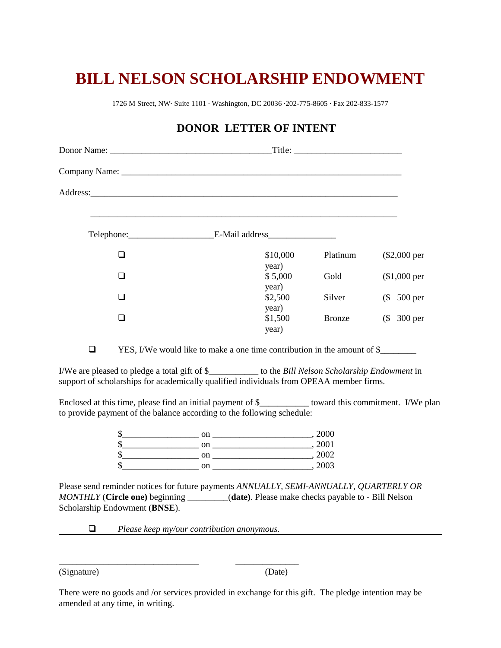## **BILL NELSON SCHOLARSHIP ENDOWMENT**

1726 M Street, NW· Suite 1101 · Washington, DC 20036 ·202-775-8605 · Fax 202-833-1577

## Donor Name: \_\_\_\_\_\_\_\_\_\_\_\_\_\_\_\_\_\_\_\_\_\_\_\_\_\_\_\_\_\_\_\_\_\_\_\_Title: \_\_\_\_\_\_\_\_\_\_\_\_\_\_\_\_\_\_\_\_\_\_\_\_ Company Name: \_\_\_\_\_\_\_\_\_\_\_\_\_\_\_\_\_\_\_\_\_\_\_\_\_\_\_\_\_\_\_\_\_\_\_\_\_\_\_\_\_\_\_\_\_\_\_\_\_\_\_\_\_\_\_\_\_\_\_\_\_\_ Address:\_\_\_\_\_\_\_\_\_\_\_\_\_\_\_\_\_\_\_\_\_\_\_\_\_\_\_\_\_\_\_\_\_\_\_\_\_\_\_\_\_\_\_\_\_\_\_\_\_\_\_\_\_\_\_\_\_\_\_\_\_\_\_\_\_\_\_\_ \_\_\_\_\_\_\_\_\_\_\_\_\_\_\_\_\_\_\_\_\_\_\_\_\_\_\_\_\_\_\_\_\_\_\_\_\_\_\_\_\_\_\_\_\_\_\_\_\_\_\_\_\_\_\_\_\_\_\_\_\_\_\_\_\_\_\_\_ Telephone: E-Mail address  $\Box$  \$10,000 Platinum (\$2,000 per year)  $\bullet$  \$5,000 Gold (\$1,000 per year)  $\Box$  \$2,500 Silver (\$ 500 per year) **1.500 Bronze** (\$ 300 per year)

**DONOR LETTER OF INTENT**

! YES, I/We would like to make a one time contribution in the amount of \$\_\_\_\_\_\_\_\_

I/We are pleased to pledge a total gift of \$\_\_\_\_\_\_\_\_\_\_\_ to the *Bill Nelson Scholarship Endowment* in support of scholarships for academically qualified individuals from OPEAA member firms.

Enclosed at this time, please find an initial payment of \$\_\_\_\_\_\_\_\_\_\_\_ toward this commitment. I/We plan to provide payment of the balance according to the following schedule:

| J  | on | ∠∪          |
|----|----|-------------|
| J  | on | $200^\circ$ |
| ۷D | on | ാറല<br>∠∪   |
| ۷D | on | 200.        |

Please send reminder notices for future payments *ANNUALLY, SEMI-ANNUALLY, QUARTERLY OR MONTHLY* (**Circle one)** beginning \_\_\_\_\_\_\_\_\_(**date)**. Please make checks payable to - Bill Nelson Scholarship Endowment (**BNSE**).

! *Please keep my/our contribution anonymous.*

\_\_\_\_\_\_\_\_\_\_\_\_\_\_\_\_\_\_\_\_\_\_\_\_\_\_\_\_\_\_\_ \_\_\_\_\_\_\_\_\_\_\_\_\_\_

(Signature) (Date)

There were no goods and /or services provided in exchange for this gift. The pledge intention may be amended at any time, in writing.